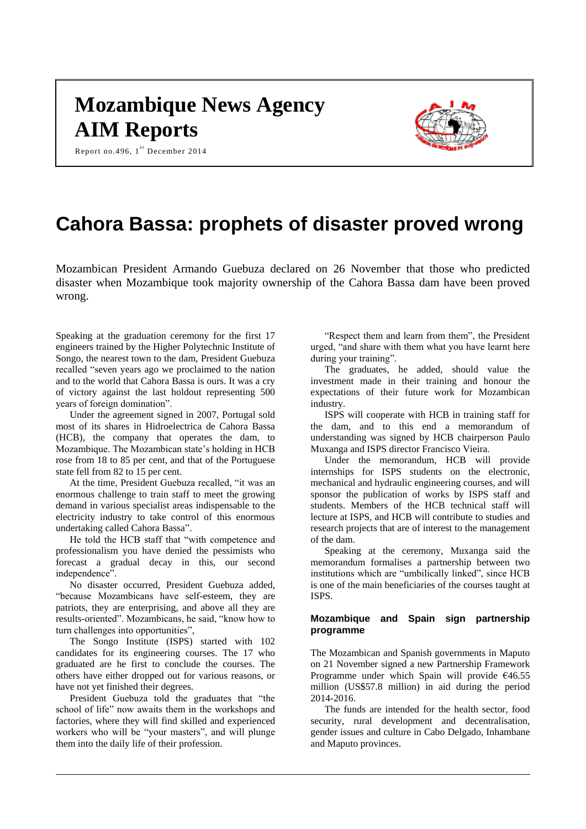# **Mozambique News Agency AIM Reports**

Report no. 496,  $1^{\text{st}}$  December 2014



# **Cahora Bassa: prophets of disaster proved wrong**

Mozambican President Armando Guebuza declared on 26 November that those who predicted disaster when Mozambique took majority ownership of the Cahora Bassa dam have been proved wrong.

Speaking at the graduation ceremony for the first 17 engineers trained by the Higher Polytechnic Institute of Songo, the nearest town to the dam, President Guebuza recalled "seven years ago we proclaimed to the nation and to the world that Cahora Bassa is ours. It was a cry of victory against the last holdout representing 500 years of foreign domination".

Under the agreement signed in 2007, Portugal sold most of its shares in Hidroelectrica de Cahora Bassa (HCB), the company that operates the dam, to Mozambique. The Mozambican state's holding in HCB rose from 18 to 85 per cent, and that of the Portuguese state fell from 82 to 15 per cent.

At the time, President Guebuza recalled, "it was an enormous challenge to train staff to meet the growing demand in various specialist areas indispensable to the electricity industry to take control of this enormous undertaking called Cahora Bassa".

He told the HCB staff that "with competence and professionalism you have denied the pessimists who forecast a gradual decay in this, our second independence".

No disaster occurred, President Guebuza added, "because Mozambicans have self-esteem, they are patriots, they are enterprising, and above all they are results-oriented". Mozambicans, he said, "know how to turn challenges into opportunities",

The Songo Institute (ISPS) started with 102 candidates for its engineering courses. The 17 who graduated are he first to conclude the courses. The others have either dropped out for various reasons, or have not yet finished their degrees.

President Guebuza told the graduates that "the school of life" now awaits them in the workshops and factories, where they will find skilled and experienced workers who will be "your masters", and will plunge them into the daily life of their profession.

"Respect them and learn from them", the President urged, "and share with them what you have learnt here during your training".

The graduates, he added, should value the investment made in their training and honour the expectations of their future work for Mozambican industry.

ISPS will cooperate with HCB in training staff for the dam, and to this end a memorandum of understanding was signed by HCB chairperson Paulo Muxanga and ISPS director Francisco Vieira.

Under the memorandum, HCB will provide internships for ISPS students on the electronic, mechanical and hydraulic engineering courses, and will sponsor the publication of works by ISPS staff and students. Members of the HCB technical staff will lecture at ISPS, and HCB will contribute to studies and research projects that are of interest to the management of the dam.

Speaking at the ceremony, Muxanga said the memorandum formalises a partnership between two institutions which are "umbilically linked", since HCB is one of the main beneficiaries of the courses taught at ISPS.

# **Mozambique and Spain sign partnership programme**

The Mozambican and Spanish governments in Maputo on 21 November signed a new Partnership Framework Programme under which Spain will provide €46.55 million (US\$57.8 million) in aid during the period 2014-2016.

The funds are intended for the health sector, food security, rural development and decentralisation, gender issues and culture in Cabo Delgado, Inhambane and Maputo provinces.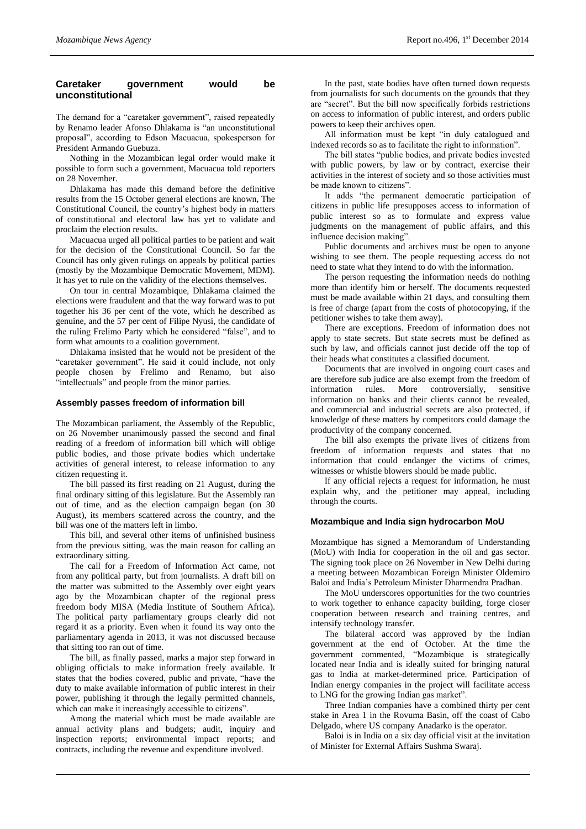# **Caretaker government would be unconstitutional**

The demand for a "caretaker government", raised repeatedly by Renamo leader Afonso Dhlakama is "an unconstitutional proposal", according to Edson Macuacua, spokesperson for President Armando Guebuza.

Nothing in the Mozambican legal order would make it possible to form such a government, Macuacua told reporters on 28 November.

Dhlakama has made this demand before the definitive results from the 15 October general elections are known, The Constitutional Council, the country's highest body in matters of constitutional and electoral law has yet to validate and proclaim the election results.

Macuacua urged all political parties to be patient and wait for the decision of the Constitutional Council. So far the Council has only given rulings on appeals by political parties (mostly by the Mozambique Democratic Movement, MDM). It has yet to rule on the validity of the elections themselves.

On tour in central Mozambique, Dhlakama claimed the elections were fraudulent and that the way forward was to put together his 36 per cent of the vote, which he described as genuine, and the 57 per cent of Filipe Nyusi, the candidate of the ruling Frelimo Party which he considered "false", and to form what amounts to a coalition government.

Dhlakama insisted that he would not be president of the "caretaker government". He said it could include, not only people chosen by Frelimo and Renamo, but also "intellectuals" and people from the minor parties.

#### **Assembly passes freedom of information bill**

The Mozambican parliament, the Assembly of the Republic, on 26 November unanimously passed the second and final reading of a freedom of information bill which will oblige public bodies, and those private bodies which undertake activities of general interest, to release information to any citizen requesting it.

The bill passed its first reading on 21 August, during the final ordinary sitting of this legislature. But the Assembly ran out of time, and as the election campaign began (on 30 August), its members scattered across the country, and the bill was one of the matters left in limbo.

This bill, and several other items of unfinished business from the previous sitting, was the main reason for calling an extraordinary sitting.

The call for a Freedom of Information Act came, not from any political party, but from journalists. A draft bill on the matter was submitted to the Assembly over eight years ago by the Mozambican chapter of the regional press freedom body MISA (Media Institute of Southern Africa). The political party parliamentary groups clearly did not regard it as a priority. Even when it found its way onto the parliamentary agenda in 2013, it was not discussed because that sitting too ran out of time.

The bill, as finally passed, marks a major step forward in obliging officials to make information freely available. It states that the bodies covered, public and private, "have the duty to make available information of public interest in their power, publishing it through the legally permitted channels, which can make it increasingly accessible to citizens".

Among the material which must be made available are annual activity plans and budgets; audit, inquiry and inspection reports; environmental impact reports; and contracts, including the revenue and expenditure involved.

In the past, state bodies have often turned down requests from journalists for such documents on the grounds that they are "secret". But the bill now specifically forbids restrictions on access to information of public interest, and orders public powers to keep their archives open.

All information must be kept "in duly catalogued and indexed records so as to facilitate the right to information".

The bill states "public bodies, and private bodies invested with public powers, by law or by contract, exercise their activities in the interest of society and so those activities must be made known to citizens".

It adds "the permanent democratic participation of citizens in public life presupposes access to information of public interest so as to formulate and express value judgments on the management of public affairs, and this influence decision making".

Public documents and archives must be open to anyone wishing to see them. The people requesting access do not need to state what they intend to do with the information.

The person requesting the information needs do nothing more than identify him or herself. The documents requested must be made available within 21 days, and consulting them is free of charge (apart from the costs of photocopying, if the petitioner wishes to take them away).

There are exceptions. Freedom of information does not apply to state secrets. But state secrets must be defined as such by law, and officials cannot just decide off the top of their heads what constitutes a classified document.

Documents that are involved in ongoing court cases and are therefore sub judice are also exempt from the freedom of information rules. More controversially, sensitive information on banks and their clients cannot be revealed, and commercial and industrial secrets are also protected, if knowledge of these matters by competitors could damage the productivity of the company concerned.

The bill also exempts the private lives of citizens from freedom of information requests and states that no information that could endanger the victims of crimes, witnesses or whistle blowers should be made public.

If any official rejects a request for information, he must explain why, and the petitioner may appeal, including through the courts.

#### **Mozambique and India sign hydrocarbon MoU**

Mozambique has signed a Memorandum of Understanding (MoU) with India for cooperation in the oil and gas sector. The signing took place on 26 November in New Delhi during a meeting between Mozambican Foreign Minister Oldemiro Baloi and India's Petroleum Minister Dharmendra Pradhan.

The MoU underscores opportunities for the two countries to work together to enhance capacity building, forge closer cooperation between research and training centres, and intensify technology transfer.

The bilateral accord was approved by the Indian government at the end of October. At the time the government commented, "Mozambique is strategically located near India and is ideally suited for bringing natural gas to India at market-determined price. Participation of Indian energy companies in the project will facilitate access to LNG for the growing Indian gas market".

Three Indian companies have a combined thirty per cent stake in Area 1 in the Rovuma Basin, off the coast of Cabo Delgado, where US company Anadarko is the operator.

Baloi is in India on a six day official visit at the invitation of Minister for External Affairs Sushma Swaraj.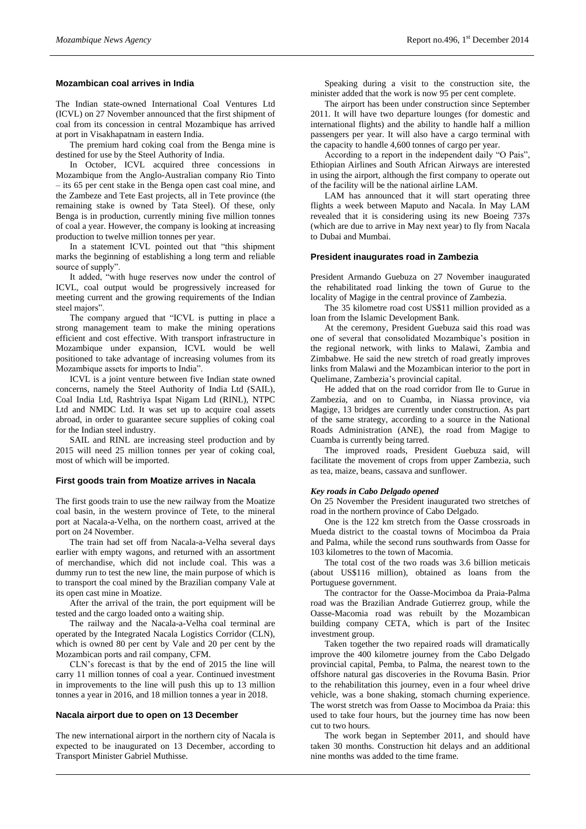#### **Mozambican coal arrives in India**

The Indian state-owned International Coal Ventures Ltd (ICVL) on 27 November announced that the first shipment of coal from its concession in central Mozambique has arrived at port in Visakhapatnam in eastern India.

The premium hard coking coal from the Benga mine is destined for use by the Steel Authority of India.

In October, ICVL acquired three concessions in Mozambique from the Anglo-Australian company Rio Tinto – its 65 per cent stake in the Benga open cast coal mine, and the Zambeze and Tete East projects, all in Tete province (the remaining stake is owned by Tata Steel). Of these, only Benga is in production, currently mining five million tonnes of coal a year. However, the company is looking at increasing production to twelve million tonnes per year.

In a statement ICVL pointed out that "this shipment marks the beginning of establishing a long term and reliable source of supply".

It added, "with huge reserves now under the control of ICVL, coal output would be progressively increased for meeting current and the growing requirements of the Indian steel majors".

The company argued that "ICVL is putting in place a strong management team to make the mining operations efficient and cost effective. With transport infrastructure in Mozambique under expansion, ICVL would be well positioned to take advantage of increasing volumes from its Mozambique assets for imports to India".

ICVL is a joint venture between five Indian state owned concerns, namely the Steel Authority of India Ltd (SAIL), Coal India Ltd, Rashtriya Ispat Nigam Ltd (RINL), NTPC Ltd and NMDC Ltd. It was set up to acquire coal assets abroad, in order to guarantee secure supplies of coking coal for the Indian steel industry.

SAIL and RINL are increasing steel production and by 2015 will need 25 million tonnes per year of coking coal, most of which will be imported.

#### **First goods train from Moatize arrives in Nacala**

The first goods train to use the new railway from the Moatize coal basin, in the western province of Tete, to the mineral port at Nacala-a-Velha, on the northern coast, arrived at the port on 24 November.

The train had set off from Nacala-a-Velha several days earlier with empty wagons, and returned with an assortment of merchandise, which did not include coal. This was a dummy run to test the new line, the main purpose of which is to transport the coal mined by the Brazilian company Vale at its open cast mine in Moatize.

After the arrival of the train, the port equipment will be tested and the cargo loaded onto a waiting ship.

The railway and the Nacala-a-Velha coal terminal are operated by the Integrated Nacala Logistics Corridor (CLN), which is owned 80 per cent by Vale and 20 per cent by the Mozambican ports and rail company, CFM.

CLN's forecast is that by the end of 2015 the line will carry 11 million tonnes of coal a year. Continued investment in improvements to the line will push this up to 13 million tonnes a year in 2016, and 18 million tonnes a year in 2018.

#### **Nacala airport due to open on 13 December**

The new international airport in the northern city of Nacala is expected to be inaugurated on 13 December, according to Transport Minister Gabriel Muthisse.

Speaking during a visit to the construction site, the minister added that the work is now 95 per cent complete.

The airport has been under construction since September 2011. It will have two departure lounges (for domestic and international flights) and the ability to handle half a million passengers per year. It will also have a cargo terminal with the capacity to handle 4,600 tonnes of cargo per year.

According to a report in the independent daily "O Pais", Ethiopian Airlines and South African Airways are interested in using the airport, although the first company to operate out of the facility will be the national airline LAM.

LAM has announced that it will start operating three flights a week between Maputo and Nacala. In May LAM revealed that it is considering using its new Boeing 737s (which are due to arrive in May next year) to fly from Nacala to Dubai and Mumbai.

#### **President inaugurates road in Zambezia**

President Armando Guebuza on 27 November inaugurated the rehabilitated road linking the town of Gurue to the locality of Magige in the central province of Zambezia.

The 35 kilometre road cost US\$11 million provided as a loan from the Islamic Development Bank.

At the ceremony, President Guebuza said this road was one of several that consolidated Mozambique's position in the regional network, with links to Malawi, Zambia and Zimbabwe. He said the new stretch of road greatly improves links from Malawi and the Mozambican interior to the port in Quelimane, Zambezia's provincial capital.

He added that on the road corridor from Ile to Gurue in Zambezia, and on to Cuamba, in Niassa province, via Magige, 13 bridges are currently under construction. As part of the same strategy, according to a source in the National Roads Administration (ANE), the road from Magige to Cuamba is currently being tarred.

The improved roads, President Guebuza said, will facilitate the movement of crops from upper Zambezia, such as tea, maize, beans, cassava and sunflower.

#### *Key roads in Cabo Delgado opened*

On 25 November the President inaugurated two stretches of road in the northern province of Cabo Delgado.

One is the 122 km stretch from the Oasse crossroads in Mueda district to the coastal towns of Mocimboa da Praia and Palma, while the second runs southwards from Oasse for 103 kilometres to the town of Macomia.

The total cost of the two roads was 3.6 billion meticais (about US\$116 million), obtained as loans from the Portuguese government.

The contractor for the Oasse-Mocimboa da Praia-Palma road was the Brazilian Andrade Gutierrez group, while the Oasse-Macomia road was rebuilt by the Mozambican building company CETA, which is part of the Insitec investment group.

Taken together the two repaired roads will dramatically improve the 400 kilometre journey from the Cabo Delgado provincial capital, Pemba, to Palma, the nearest town to the offshore natural gas discoveries in the Rovuma Basin. Prior to the rehabilitation this journey, even in a four wheel drive vehicle, was a bone shaking, stomach churning experience. The worst stretch was from Oasse to Mocimboa da Praia: this used to take four hours, but the journey time has now been cut to two hours.

The work began in September 2011, and should have taken 30 months. Construction hit delays and an additional nine months was added to the time frame.